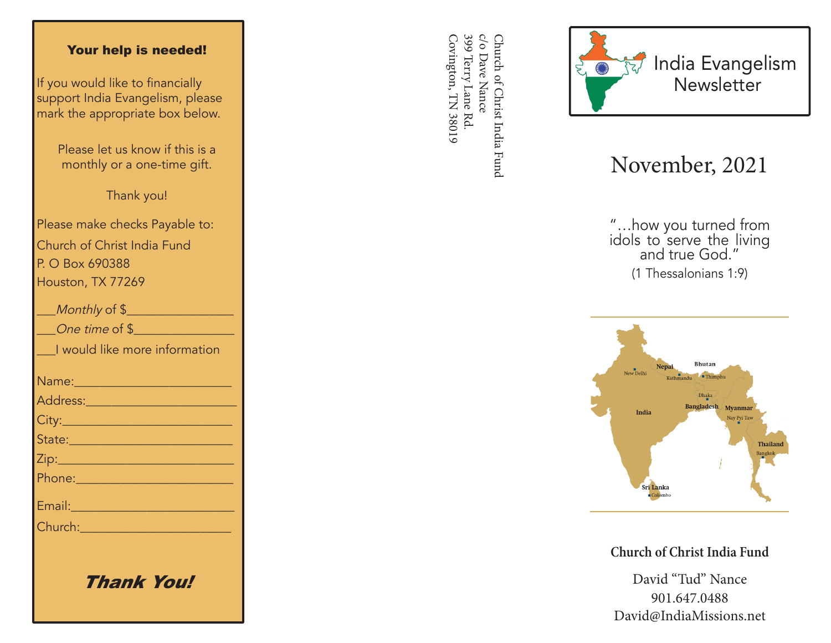## Your help is needed!

If you would like to financially support India Evangelism, please mark the appropriate box below.

> Please let us know if this is a monthly or a one-time gift.

> > Thank you!

Please make checks Payable to: Church of Christ India Fund P. O Box 690388 Houston, TX 77269

| Monthly of \$                                                                                                                                                                                                                        |
|--------------------------------------------------------------------------------------------------------------------------------------------------------------------------------------------------------------------------------------|
| One time of \$                                                                                                                                                                                                                       |
| I would like more information                                                                                                                                                                                                        |
|                                                                                                                                                                                                                                      |
| <u>Address: ________________________</u>                                                                                                                                                                                             |
|                                                                                                                                                                                                                                      |
| State: 2008 - 2008 - 2010 - 2010 - 2011 - 2012 - 2012 - 2012 - 2014 - 2012 - 2014 - 2014 - 2014 - 2014 - 2014                                                                                                                        |
|                                                                                                                                                                                                                                      |
|                                                                                                                                                                                                                                      |
| Email: 2008 - 2008 - 2014 - 2014 - 2014 - 2014 - 2014 - 2014 - 2014 - 2014 - 2014 - 2014 - 2014 - 2014 - 2014                                                                                                                        |
| Church: <u>Church Barbara and Barbara and Barbara and Barbara and Barbara and Barbara and Barbara and Barbara and Barbara and Barbara and Barbara and Barbara and Barbara and Barbara and Barbara and Barbara and Barbara and Ba</u> |
|                                                                                                                                                                                                                                      |
|                                                                                                                                                                                                                                      |

Thank You!

399 Terry Lane Rd c/o Dave Nance Covington, TN 38019 Covington, TN 38019 399 Terry Lane Rd. c/o Dave Nance Church of Christ India Fund Church of Christ India Fund



## November, 2021

"…how you turned from idols to serve the living and true God." (1 Thessalonians 1:9)



**Church of Christ India Fund**

David "Tud" Nance 901.647.0488 David@IndiaMissions.net